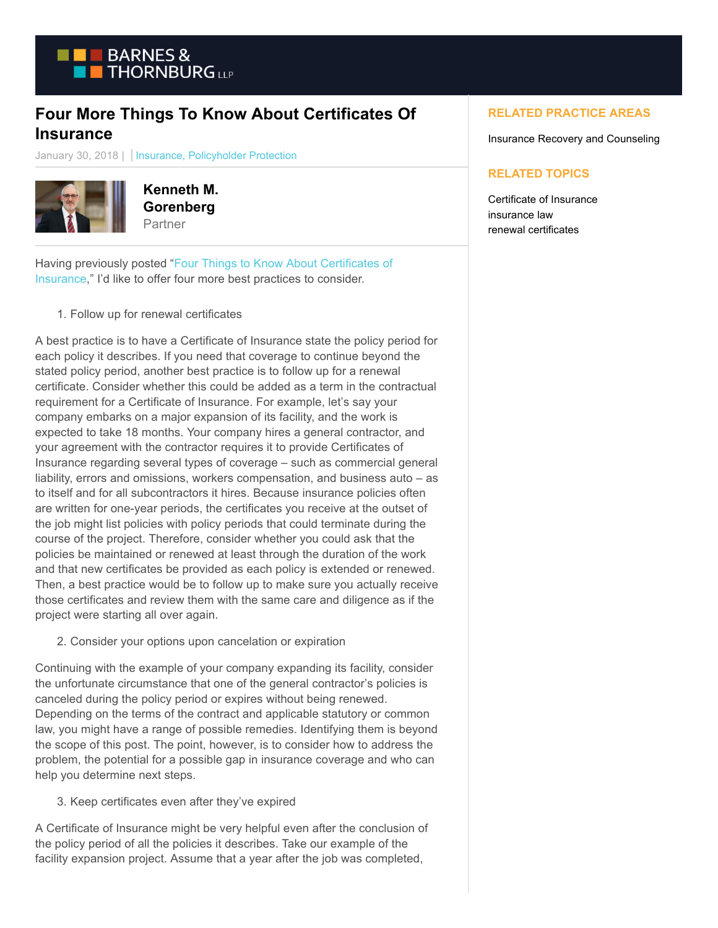

## **Four More Things To Know About Certificates Of Insurance**

January 30, 2018 | Insurance, Policyholder Protection



**Kenneth M. Gorenberg** Partner

Having previously posted ["Four Things to Know About Certificates of](https://www.btpolicyholderprotection.com/four-things-to-know-about-certificates-of-insurance/) Insurance," I'd like to offer four more best practices to consider.

1. Follow up for renewal certificates

A best practice is to have a Certificate of Insurance state the policy period for each policy it describes. If you need that coverage to continue beyond the stated policy period, another best practice is to follow up for a renewal certificate. Consider whether this could be added as a term in the contractual requirement for a Certificate of Insurance. For example, let's say your company embarks on a major expansion of its facility, and the work is expected to take 18 months. Your company hires a general contractor, and your agreement with the contractor requires it to provide Certificates of Insurance regarding several types of coverage – such as commercial general liability, errors and omissions, workers compensation, and business auto – as to itself and for all subcontractors it hires. Because insurance policies often are written for one-year periods, the certificates you receive at the outset of the job might list policies with policy periods that could terminate during the course of the project. Therefore, consider whether you could ask that the policies be maintained or renewed at least through the duration of the work and that new certificates be provided as each policy is extended or renewed. Then, a best practice would be to follow up to make sure you actually receive those certificates and review them with the same care and diligence as if the project were starting all over again.

2. Consider your options upon cancelation or expiration

Continuing with the example of your company expanding its facility, consider the unfortunate circumstance that one of the general contractor's policies is canceled during the policy period or expires without being renewed. Depending on the terms of the contract and applicable statutory or common law, you might have a range of possible remedies. Identifying them is beyond the scope of this post. The point, however, is to consider how to address the problem, the potential for a possible gap in insurance coverage and who can help you determine next steps.

3. Keep certificates even after they've expired

A Certificate of Insurance might be very helpful even after the conclusion of the policy period of all the policies it describes. Take our example of the facility expansion project. Assume that a year after the job was completed,

## **RELATED PRACTICE AREAS**

Insurance Recovery and Counseling

## **RELATED TOPICS**

Certificate of Insurance insurance law renewal certificates